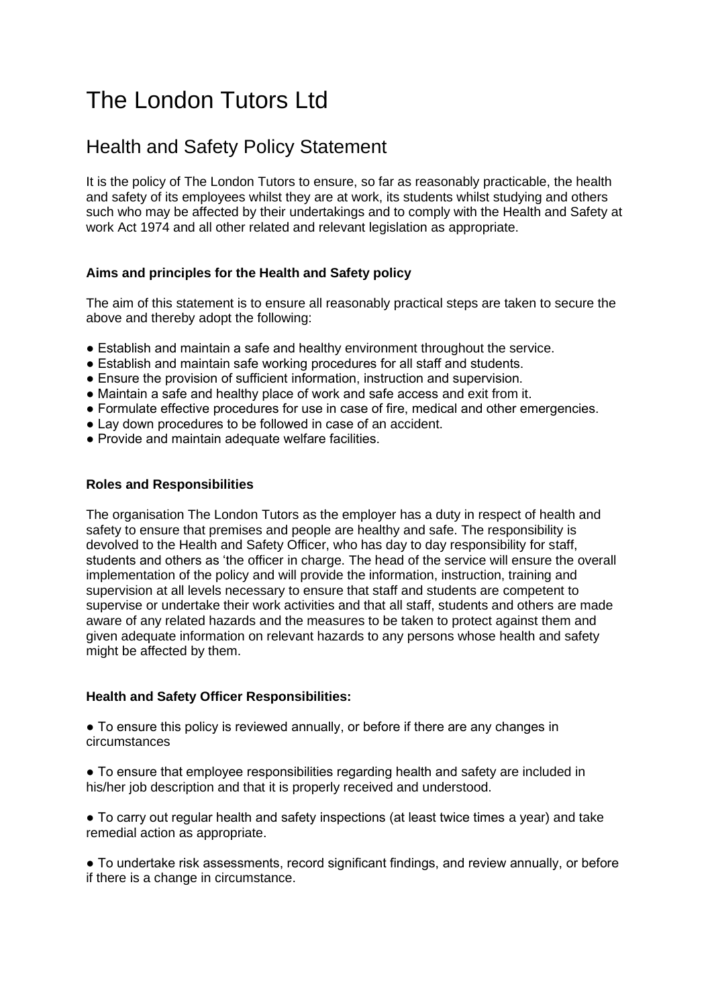# The London Tutors Ltd

# Health and Safety Policy Statement

It is the policy of The London Tutors to ensure, so far as reasonably practicable, the health and safety of its employees whilst they are at work, its students whilst studying and others such who may be affected by their undertakings and to comply with the Health and Safety at work Act 1974 and all other related and relevant legislation as appropriate.

# **Aims and principles for the Health and Safety policy**

The aim of this statement is to ensure all reasonably practical steps are taken to secure the above and thereby adopt the following:

- Establish and maintain a safe and healthy environment throughout the service.
- Establish and maintain safe working procedures for all staff and students.
- Ensure the provision of sufficient information, instruction and supervision.
- Maintain a safe and healthy place of work and safe access and exit from it.
- Formulate effective procedures for use in case of fire, medical and other emergencies.
- Lay down procedures to be followed in case of an accident.
- Provide and maintain adequate welfare facilities.

#### **Roles and Responsibilities**

The organisation The London Tutors as the employer has a duty in respect of health and safety to ensure that premises and people are healthy and safe. The responsibility is devolved to the Health and Safety Officer, who has day to day responsibility for staff, students and others as 'the officer in charge. The head of the service will ensure the overall implementation of the policy and will provide the information, instruction, training and supervision at all levels necessary to ensure that staff and students are competent to supervise or undertake their work activities and that all staff, students and others are made aware of any related hazards and the measures to be taken to protect against them and given adequate information on relevant hazards to any persons whose health and safety might be affected by them.

# **Health and Safety Officer Responsibilities:**

● To ensure this policy is reviewed annually, or before if there are any changes in circumstances

● To ensure that employee responsibilities regarding health and safety are included in his/her job description and that it is properly received and understood.

● To carry out regular health and safety inspections (at least twice times a year) and take remedial action as appropriate.

● To undertake risk assessments, record significant findings, and review annually, or before if there is a change in circumstance.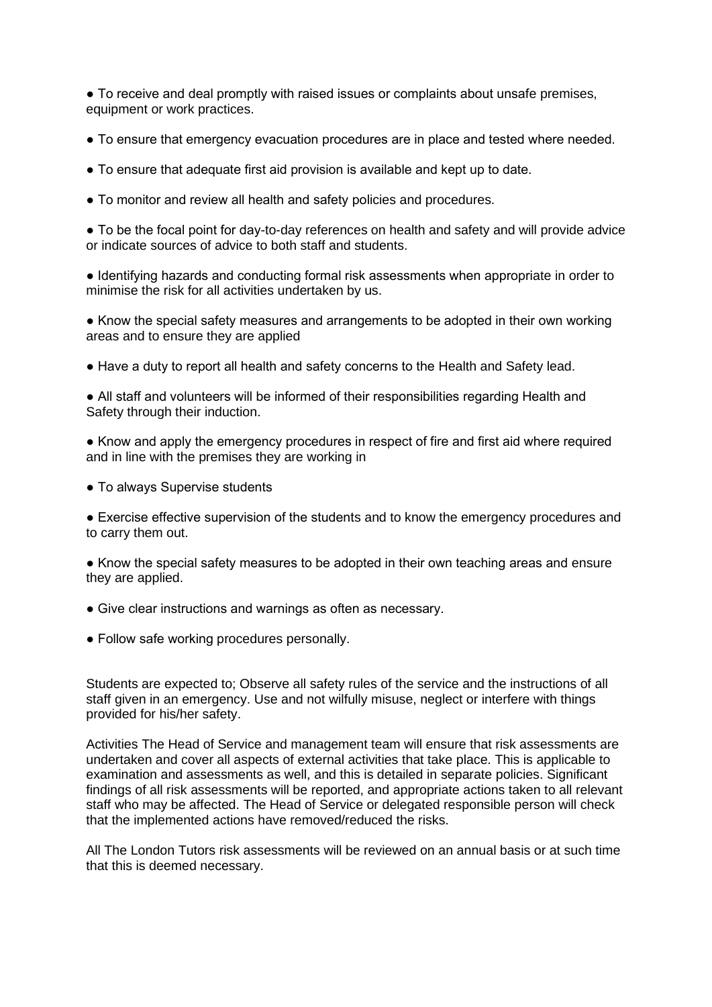● To receive and deal promptly with raised issues or complaints about unsafe premises, equipment or work practices.

- To ensure that emergency evacuation procedures are in place and tested where needed.
- To ensure that adequate first aid provision is available and kept up to date.
- To monitor and review all health and safety policies and procedures.

● To be the focal point for day-to-day references on health and safety and will provide advice or indicate sources of advice to both staff and students.

● Identifying hazards and conducting formal risk assessments when appropriate in order to minimise the risk for all activities undertaken by us.

• Know the special safety measures and arrangements to be adopted in their own working areas and to ensure they are applied

● Have a duty to report all health and safety concerns to the Health and Safety lead.

● All staff and volunteers will be informed of their responsibilities regarding Health and Safety through their induction.

• Know and apply the emergency procedures in respect of fire and first aid where required and in line with the premises they are working in

• To always Supervise students

● Exercise effective supervision of the students and to know the emergency procedures and to carry them out.

● Know the special safety measures to be adopted in their own teaching areas and ensure they are applied.

- Give clear instructions and warnings as often as necessary.
- Follow safe working procedures personally.

Students are expected to; Observe all safety rules of the service and the instructions of all staff given in an emergency. Use and not wilfully misuse, neglect or interfere with things provided for his/her safety.

Activities The Head of Service and management team will ensure that risk assessments are undertaken and cover all aspects of external activities that take place. This is applicable to examination and assessments as well, and this is detailed in separate policies. Significant findings of all risk assessments will be reported, and appropriate actions taken to all relevant staff who may be affected. The Head of Service or delegated responsible person will check that the implemented actions have removed/reduced the risks.

All The London Tutors risk assessments will be reviewed on an annual basis or at such time that this is deemed necessary.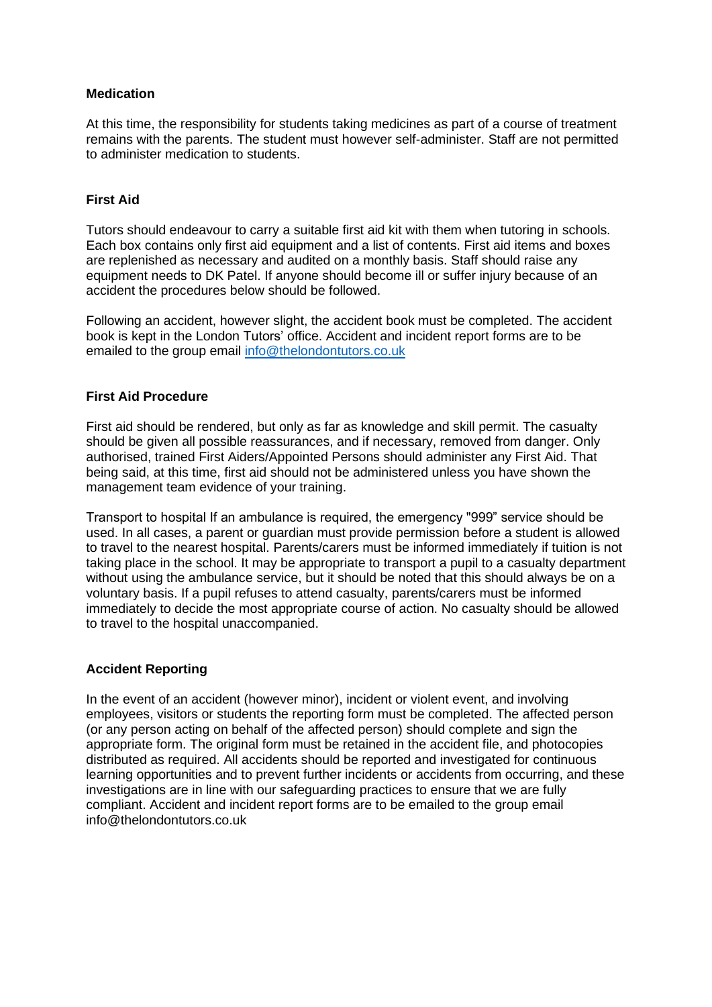#### **Medication**

At this time, the responsibility for students taking medicines as part of a course of treatment remains with the parents. The student must however self-administer. Staff are not permitted to administer medication to students.

# **First Aid**

Tutors should endeavour to carry a suitable first aid kit with them when tutoring in schools. Each box contains only first aid equipment and a list of contents. First aid items and boxes are replenished as necessary and audited on a monthly basis. Staff should raise any equipment needs to DK Patel. If anyone should become ill or suffer injury because of an accident the procedures below should be followed.

Following an accident, however slight, the accident book must be completed. The accident book is kept in the London Tutors' office. Accident and incident report forms are to be emailed to the group email [info@thelondontutors.co.uk](mailto:info@thelondontutors.co.uk)

# **First Aid Procedure**

First aid should be rendered, but only as far as knowledge and skill permit. The casualty should be given all possible reassurances, and if necessary, removed from danger. Only authorised, trained First Aiders/Appointed Persons should administer any First Aid. That being said, at this time, first aid should not be administered unless you have shown the management team evidence of your training.

Transport to hospital If an ambulance is required, the emergency "999" service should be used. In all cases, a parent or guardian must provide permission before a student is allowed to travel to the nearest hospital. Parents/carers must be informed immediately if tuition is not taking place in the school. It may be appropriate to transport a pupil to a casualty department without using the ambulance service, but it should be noted that this should always be on a voluntary basis. If a pupil refuses to attend casualty, parents/carers must be informed immediately to decide the most appropriate course of action. No casualty should be allowed to travel to the hospital unaccompanied.

# **Accident Reporting**

In the event of an accident (however minor), incident or violent event, and involving employees, visitors or students the reporting form must be completed. The affected person (or any person acting on behalf of the affected person) should complete and sign the appropriate form. The original form must be retained in the accident file, and photocopies distributed as required. All accidents should be reported and investigated for continuous learning opportunities and to prevent further incidents or accidents from occurring, and these investigations are in line with our safeguarding practices to ensure that we are fully compliant. Accident and incident report forms are to be emailed to the group email info@thelondontutors.co.uk